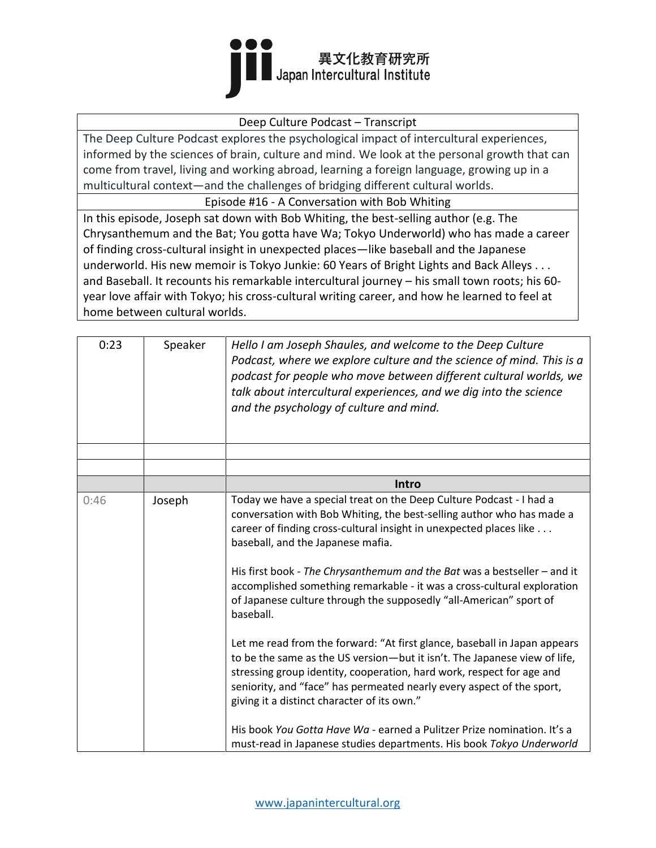

#### Deep Culture Podcast – Transcript

The Deep Culture Podcast explores the psychological impact of intercultural experiences, informed by the sciences of brain, culture and mind. We look at the personal growth that can come from travel, living and working abroad, learning a foreign language, growing up in a multicultural context—and the challenges of bridging different cultural worlds.

Episode #16 - A Conversation with Bob Whiting

In this episode, Joseph sat down with Bob Whiting, the best-selling author (e.g. The Chrysanthemum and the Bat; You gotta have Wa; Tokyo Underworld) who has made a career of finding cross-cultural insight in unexpected places—like baseball and the Japanese underworld. His new memoir is Tokyo Junkie: 60 Years of Bright Lights and Back Alleys . . . and Baseball. It recounts his remarkable intercultural journey – his small town roots; his 60 year love affair with Tokyo; his cross-cultural writing career, and how he learned to feel at home between cultural worlds.

| 0:23 | Speaker | Hello I am Joseph Shaules, and welcome to the Deep Culture<br>Podcast, where we explore culture and the science of mind. This is a<br>podcast for people who move between different cultural worlds, we<br>talk about intercultural experiences, and we dig into the science<br>and the psychology of culture and mind.                                                                                                                                                                                                                                                                                                                                                                                                              |
|------|---------|--------------------------------------------------------------------------------------------------------------------------------------------------------------------------------------------------------------------------------------------------------------------------------------------------------------------------------------------------------------------------------------------------------------------------------------------------------------------------------------------------------------------------------------------------------------------------------------------------------------------------------------------------------------------------------------------------------------------------------------|
|      |         |                                                                                                                                                                                                                                                                                                                                                                                                                                                                                                                                                                                                                                                                                                                                      |
|      |         |                                                                                                                                                                                                                                                                                                                                                                                                                                                                                                                                                                                                                                                                                                                                      |
|      |         | Intro                                                                                                                                                                                                                                                                                                                                                                                                                                                                                                                                                                                                                                                                                                                                |
| 0:46 | Joseph  | Today we have a special treat on the Deep Culture Podcast - I had a<br>conversation with Bob Whiting, the best-selling author who has made a<br>career of finding cross-cultural insight in unexpected places like<br>baseball, and the Japanese mafia.<br>His first book - The Chrysanthemum and the Bat was a bestseller - and it<br>accomplished something remarkable - it was a cross-cultural exploration<br>of Japanese culture through the supposedly "all-American" sport of<br>baseball.<br>Let me read from the forward: "At first glance, baseball in Japan appears<br>to be the same as the US version-but it isn't. The Japanese view of life,<br>stressing group identity, cooperation, hard work, respect for age and |
|      |         | seniority, and "face" has permeated nearly every aspect of the sport,<br>giving it a distinct character of its own."<br>His book You Gotta Have Wa - earned a Pulitzer Prize nomination. It's a<br>must-read in Japanese studies departments. His book Tokyo Underworld                                                                                                                                                                                                                                                                                                                                                                                                                                                              |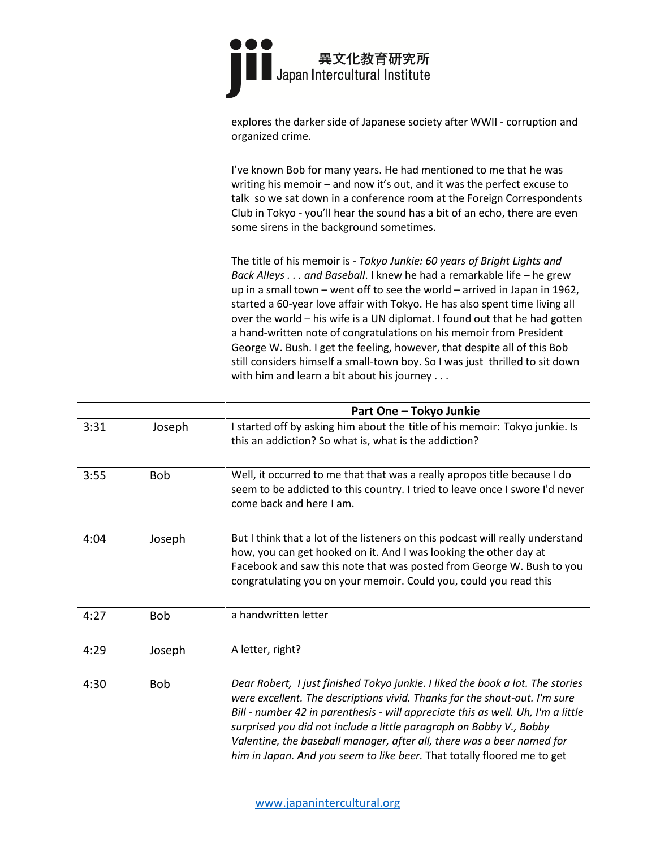# ●●●<br>■■ 異文化教育研究所<br>■ Japan Intercultural Institute

|      |            | explores the darker side of Japanese society after WWII - corruption and<br>organized crime.                                                                                                                                                                                                                                                                                                                                                                                                                                                                                                                                                                                |
|------|------------|-----------------------------------------------------------------------------------------------------------------------------------------------------------------------------------------------------------------------------------------------------------------------------------------------------------------------------------------------------------------------------------------------------------------------------------------------------------------------------------------------------------------------------------------------------------------------------------------------------------------------------------------------------------------------------|
|      |            | I've known Bob for many years. He had mentioned to me that he was<br>writing his memoir - and now it's out, and it was the perfect excuse to<br>talk so we sat down in a conference room at the Foreign Correspondents<br>Club in Tokyo - you'll hear the sound has a bit of an echo, there are even<br>some sirens in the background sometimes.                                                                                                                                                                                                                                                                                                                            |
|      |            | The title of his memoir is - Tokyo Junkie: 60 years of Bright Lights and<br>Back Alleys and Baseball. I knew he had a remarkable life - he grew<br>up in a small town - went off to see the world - arrived in Japan in 1962,<br>started a 60-year love affair with Tokyo. He has also spent time living all<br>over the world - his wife is a UN diplomat. I found out that he had gotten<br>a hand-written note of congratulations on his memoir from President<br>George W. Bush. I get the feeling, however, that despite all of this Bob<br>still considers himself a small-town boy. So I was just thrilled to sit down<br>with him and learn a bit about his journey |
|      |            | Part One - Tokyo Junkie                                                                                                                                                                                                                                                                                                                                                                                                                                                                                                                                                                                                                                                     |
| 3:31 | Joseph     | I started off by asking him about the title of his memoir: Tokyo junkie. Is<br>this an addiction? So what is, what is the addiction?                                                                                                                                                                                                                                                                                                                                                                                                                                                                                                                                        |
| 3:55 | <b>Bob</b> | Well, it occurred to me that that was a really apropos title because I do<br>seem to be addicted to this country. I tried to leave once I swore I'd never<br>come back and here I am.                                                                                                                                                                                                                                                                                                                                                                                                                                                                                       |
| 4:04 | Joseph     | But I think that a lot of the listeners on this podcast will really understand<br>how, you can get hooked on it. And I was looking the other day at<br>Facebook and saw this note that was posted from George W. Bush to you<br>congratulating you on your memoir. Could you, could you read this                                                                                                                                                                                                                                                                                                                                                                           |
| 4:27 | <b>Bob</b> | a handwritten letter                                                                                                                                                                                                                                                                                                                                                                                                                                                                                                                                                                                                                                                        |
| 4:29 | Joseph     | A letter, right?                                                                                                                                                                                                                                                                                                                                                                                                                                                                                                                                                                                                                                                            |
| 4:30 | <b>Bob</b> | Dear Robert, I just finished Tokyo junkie. I liked the book a lot. The stories<br>were excellent. The descriptions vivid. Thanks for the shout-out. I'm sure<br>Bill - number 42 in parenthesis - will appreciate this as well. Uh, I'm a little<br>surprised you did not include a little paragraph on Bobby V., Bobby<br>Valentine, the baseball manager, after all, there was a beer named for<br>him in Japan. And you seem to like beer. That totally floored me to get                                                                                                                                                                                                |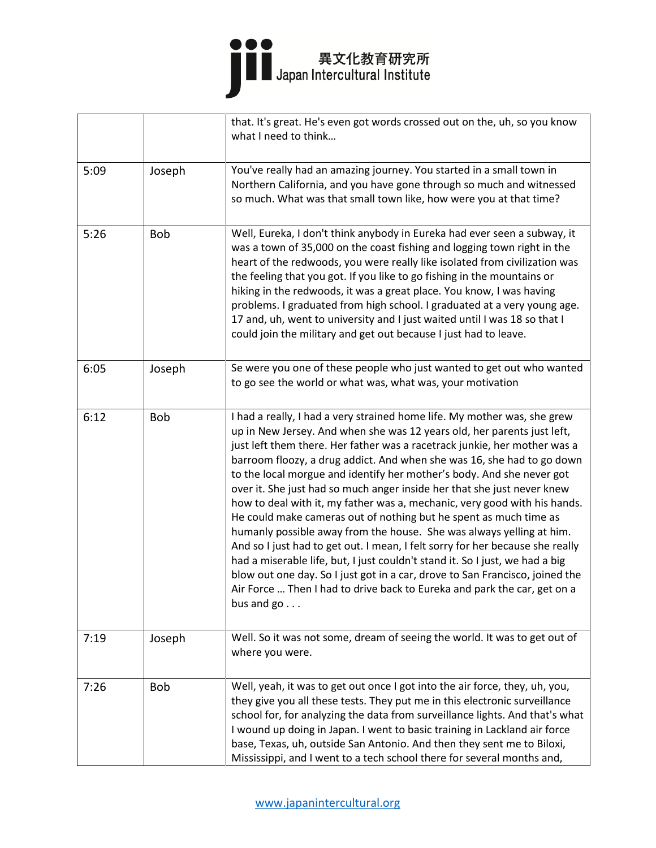# ●●●<br>■■ 異文化教育研究所<br>■ Japan Intercultural Institute

|      |            | that. It's great. He's even got words crossed out on the, uh, so you know<br>what I need to think                                                                                                                                                                                                                                                                                                                                                                                                                                                                                                                                                                                                                                                                                                                                                                                                                                                                                                                                     |
|------|------------|---------------------------------------------------------------------------------------------------------------------------------------------------------------------------------------------------------------------------------------------------------------------------------------------------------------------------------------------------------------------------------------------------------------------------------------------------------------------------------------------------------------------------------------------------------------------------------------------------------------------------------------------------------------------------------------------------------------------------------------------------------------------------------------------------------------------------------------------------------------------------------------------------------------------------------------------------------------------------------------------------------------------------------------|
| 5:09 | Joseph     | You've really had an amazing journey. You started in a small town in<br>Northern California, and you have gone through so much and witnessed<br>so much. What was that small town like, how were you at that time?                                                                                                                                                                                                                                                                                                                                                                                                                                                                                                                                                                                                                                                                                                                                                                                                                    |
| 5:26 | <b>Bob</b> | Well, Eureka, I don't think anybody in Eureka had ever seen a subway, it<br>was a town of 35,000 on the coast fishing and logging town right in the<br>heart of the redwoods, you were really like isolated from civilization was<br>the feeling that you got. If you like to go fishing in the mountains or<br>hiking in the redwoods, it was a great place. You know, I was having<br>problems. I graduated from high school. I graduated at a very young age.<br>17 and, uh, went to university and I just waited until I was 18 so that I<br>could join the military and get out because I just had to leave.                                                                                                                                                                                                                                                                                                                                                                                                                     |
| 6:05 | Joseph     | Se were you one of these people who just wanted to get out who wanted<br>to go see the world or what was, what was, your motivation                                                                                                                                                                                                                                                                                                                                                                                                                                                                                                                                                                                                                                                                                                                                                                                                                                                                                                   |
| 6:12 | <b>Bob</b> | I had a really, I had a very strained home life. My mother was, she grew<br>up in New Jersey. And when she was 12 years old, her parents just left,<br>just left them there. Her father was a racetrack junkie, her mother was a<br>barroom floozy, a drug addict. And when she was 16, she had to go down<br>to the local morgue and identify her mother's body. And she never got<br>over it. She just had so much anger inside her that she just never knew<br>how to deal with it, my father was a, mechanic, very good with his hands.<br>He could make cameras out of nothing but he spent as much time as<br>humanly possible away from the house. She was always yelling at him.<br>And so I just had to get out. I mean, I felt sorry for her because she really<br>had a miserable life, but, I just couldn't stand it. So I just, we had a big<br>blow out one day. So I just got in a car, drove to San Francisco, joined the<br>Air Force  Then I had to drive back to Eureka and park the car, get on a<br>bus and $go$ |
| 7:19 | Joseph     | Well. So it was not some, dream of seeing the world. It was to get out of<br>where you were.                                                                                                                                                                                                                                                                                                                                                                                                                                                                                                                                                                                                                                                                                                                                                                                                                                                                                                                                          |
| 7:26 | <b>Bob</b> | Well, yeah, it was to get out once I got into the air force, they, uh, you,<br>they give you all these tests. They put me in this electronic surveillance<br>school for, for analyzing the data from surveillance lights. And that's what<br>I wound up doing in Japan. I went to basic training in Lackland air force<br>base, Texas, uh, outside San Antonio. And then they sent me to Biloxi,<br>Mississippi, and I went to a tech school there for several months and,                                                                                                                                                                                                                                                                                                                                                                                                                                                                                                                                                            |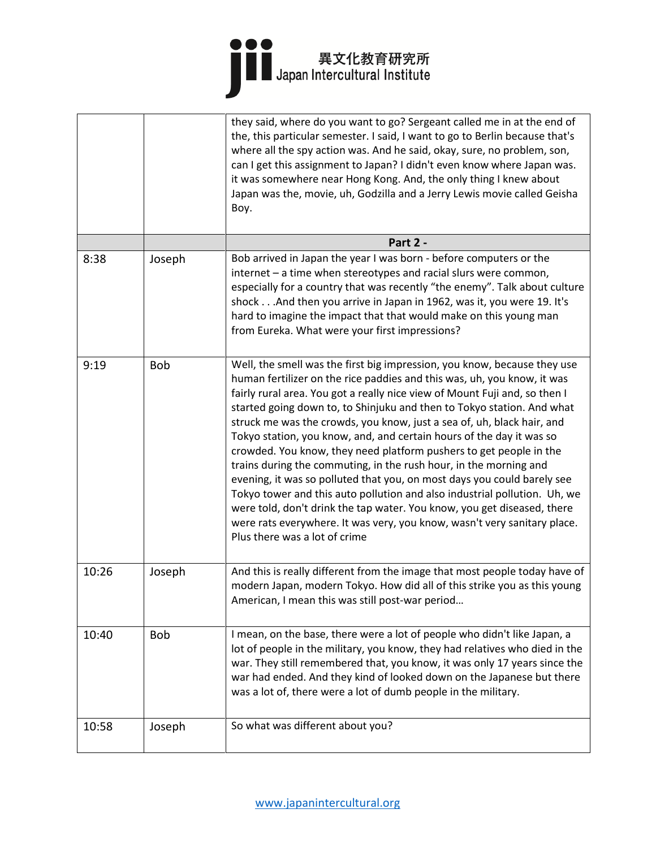|       |            | they said, where do you want to go? Sergeant called me in at the end of<br>the, this particular semester. I said, I want to go to Berlin because that's<br>where all the spy action was. And he said, okay, sure, no problem, son,<br>can I get this assignment to Japan? I didn't even know where Japan was.<br>it was somewhere near Hong Kong. And, the only thing I knew about<br>Japan was the, movie, uh, Godzilla and a Jerry Lewis movie called Geisha<br>Boy.                                                                                                                                                                                                                                                                                                                                                                                                                                                                                   |
|-------|------------|----------------------------------------------------------------------------------------------------------------------------------------------------------------------------------------------------------------------------------------------------------------------------------------------------------------------------------------------------------------------------------------------------------------------------------------------------------------------------------------------------------------------------------------------------------------------------------------------------------------------------------------------------------------------------------------------------------------------------------------------------------------------------------------------------------------------------------------------------------------------------------------------------------------------------------------------------------|
|       |            | Part 2 -                                                                                                                                                                                                                                                                                                                                                                                                                                                                                                                                                                                                                                                                                                                                                                                                                                                                                                                                                 |
| 8:38  | Joseph     | Bob arrived in Japan the year I was born - before computers or the<br>internet - a time when stereotypes and racial slurs were common,<br>especially for a country that was recently "the enemy". Talk about culture<br>shock And then you arrive in Japan in 1962, was it, you were 19. It's<br>hard to imagine the impact that that would make on this young man<br>from Eureka. What were your first impressions?                                                                                                                                                                                                                                                                                                                                                                                                                                                                                                                                     |
| 9:19  | <b>Bob</b> | Well, the smell was the first big impression, you know, because they use<br>human fertilizer on the rice paddies and this was, uh, you know, it was<br>fairly rural area. You got a really nice view of Mount Fuji and, so then I<br>started going down to, to Shinjuku and then to Tokyo station. And what<br>struck me was the crowds, you know, just a sea of, uh, black hair, and<br>Tokyo station, you know, and, and certain hours of the day it was so<br>crowded. You know, they need platform pushers to get people in the<br>trains during the commuting, in the rush hour, in the morning and<br>evening, it was so polluted that you, on most days you could barely see<br>Tokyo tower and this auto pollution and also industrial pollution. Uh, we<br>were told, don't drink the tap water. You know, you get diseased, there<br>were rats everywhere. It was very, you know, wasn't very sanitary place.<br>Plus there was a lot of crime |
| 10:26 | Joseph     | And this is really different from the image that most people today have of<br>modern Japan, modern Tokyo. How did all of this strike you as this young<br>American, I mean this was still post-war period                                                                                                                                                                                                                                                                                                                                                                                                                                                                                                                                                                                                                                                                                                                                                |
| 10:40 | Bob        | I mean, on the base, there were a lot of people who didn't like Japan, a<br>lot of people in the military, you know, they had relatives who died in the<br>war. They still remembered that, you know, it was only 17 years since the<br>war had ended. And they kind of looked down on the Japanese but there<br>was a lot of, there were a lot of dumb people in the military.                                                                                                                                                                                                                                                                                                                                                                                                                                                                                                                                                                          |
| 10:58 | Joseph     | So what was different about you?                                                                                                                                                                                                                                                                                                                                                                                                                                                                                                                                                                                                                                                                                                                                                                                                                                                                                                                         |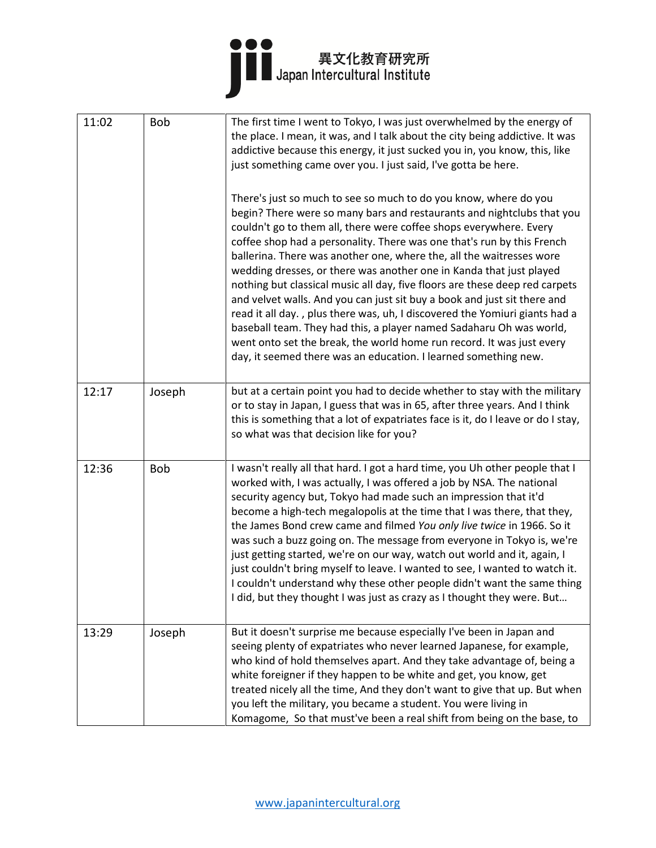

| 11:02 | <b>Bob</b> | The first time I went to Tokyo, I was just overwhelmed by the energy of<br>the place. I mean, it was, and I talk about the city being addictive. It was<br>addictive because this energy, it just sucked you in, you know, this, like<br>just something came over you. I just said, I've gotta be here.<br>There's just so much to see so much to do you know, where do you<br>begin? There were so many bars and restaurants and nightclubs that you<br>couldn't go to them all, there were coffee shops everywhere. Every                                                                                                                                                                                                                                               |
|-------|------------|---------------------------------------------------------------------------------------------------------------------------------------------------------------------------------------------------------------------------------------------------------------------------------------------------------------------------------------------------------------------------------------------------------------------------------------------------------------------------------------------------------------------------------------------------------------------------------------------------------------------------------------------------------------------------------------------------------------------------------------------------------------------------|
|       |            | coffee shop had a personality. There was one that's run by this French<br>ballerina. There was another one, where the, all the waitresses wore<br>wedding dresses, or there was another one in Kanda that just played<br>nothing but classical music all day, five floors are these deep red carpets<br>and velvet walls. And you can just sit buy a book and just sit there and<br>read it all day., plus there was, uh, I discovered the Yomiuri giants had a<br>baseball team. They had this, a player named Sadaharu Oh was world,<br>went onto set the break, the world home run record. It was just every<br>day, it seemed there was an education. I learned something new.                                                                                        |
| 12:17 | Joseph     | but at a certain point you had to decide whether to stay with the military<br>or to stay in Japan, I guess that was in 65, after three years. And I think<br>this is something that a lot of expatriates face is it, do I leave or do I stay,<br>so what was that decision like for you?                                                                                                                                                                                                                                                                                                                                                                                                                                                                                  |
| 12:36 | <b>Bob</b> | I wasn't really all that hard. I got a hard time, you Uh other people that I<br>worked with, I was actually, I was offered a job by NSA. The national<br>security agency but, Tokyo had made such an impression that it'd<br>become a high-tech megalopolis at the time that I was there, that they,<br>the James Bond crew came and filmed You only live twice in 1966. So it<br>was such a buzz going on. The message from everyone in Tokyo is, we're<br>just getting started, we're on our way, watch out world and it, again, I<br>just couldn't bring myself to leave. I wanted to see, I wanted to watch it.<br>I couldn't understand why these other people didn't want the same thing<br>I did, but they thought I was just as crazy as I thought they were. But |
| 13:29 | Joseph     | But it doesn't surprise me because especially I've been in Japan and<br>seeing plenty of expatriates who never learned Japanese, for example,<br>who kind of hold themselves apart. And they take advantage of, being a<br>white foreigner if they happen to be white and get, you know, get<br>treated nicely all the time, And they don't want to give that up. But when<br>you left the military, you became a student. You were living in<br>Komagome, So that must've been a real shift from being on the base, to                                                                                                                                                                                                                                                   |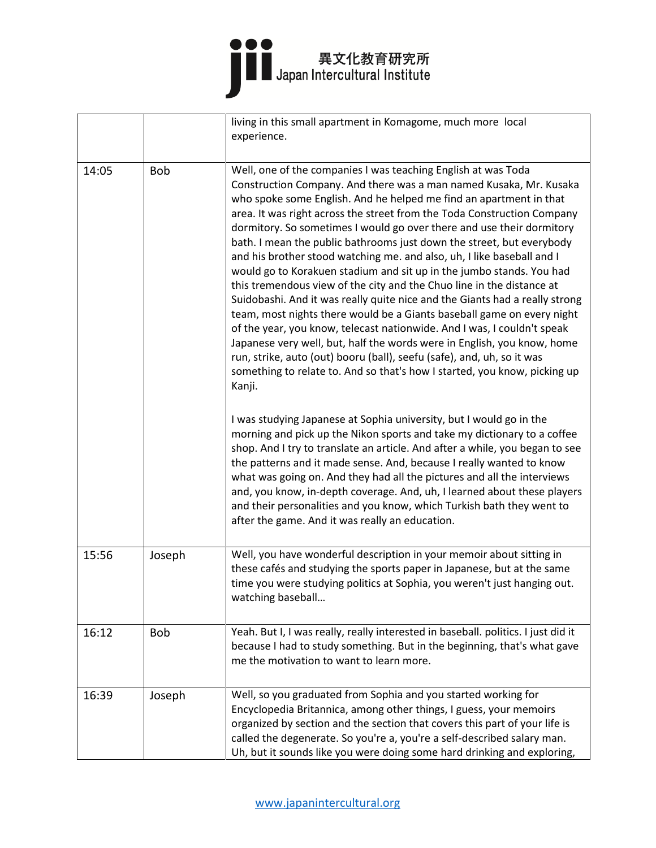|       |            | living in this small apartment in Komagome, much more local<br>experience.                                                                                                                                                                                                                                                                                                                                                                                                                                                                                                                                                                                                                                                                                                                                                                                                                                                                                                                                                                                                                                                                        |
|-------|------------|---------------------------------------------------------------------------------------------------------------------------------------------------------------------------------------------------------------------------------------------------------------------------------------------------------------------------------------------------------------------------------------------------------------------------------------------------------------------------------------------------------------------------------------------------------------------------------------------------------------------------------------------------------------------------------------------------------------------------------------------------------------------------------------------------------------------------------------------------------------------------------------------------------------------------------------------------------------------------------------------------------------------------------------------------------------------------------------------------------------------------------------------------|
| 14:05 | <b>Bob</b> | Well, one of the companies I was teaching English at was Toda<br>Construction Company. And there was a man named Kusaka, Mr. Kusaka<br>who spoke some English. And he helped me find an apartment in that<br>area. It was right across the street from the Toda Construction Company<br>dormitory. So sometimes I would go over there and use their dormitory<br>bath. I mean the public bathrooms just down the street, but everybody<br>and his brother stood watching me. and also, uh, I like baseball and I<br>would go to Korakuen stadium and sit up in the jumbo stands. You had<br>this tremendous view of the city and the Chuo line in the distance at<br>Suidobashi. And it was really quite nice and the Giants had a really strong<br>team, most nights there would be a Giants baseball game on every night<br>of the year, you know, telecast nationwide. And I was, I couldn't speak<br>Japanese very well, but, half the words were in English, you know, home<br>run, strike, auto (out) booru (ball), seefu (safe), and, uh, so it was<br>something to relate to. And so that's how I started, you know, picking up<br>Kanji. |
|       |            | I was studying Japanese at Sophia university, but I would go in the<br>morning and pick up the Nikon sports and take my dictionary to a coffee<br>shop. And I try to translate an article. And after a while, you began to see<br>the patterns and it made sense. And, because I really wanted to know<br>what was going on. And they had all the pictures and all the interviews<br>and, you know, in-depth coverage. And, uh, I learned about these players<br>and their personalities and you know, which Turkish bath they went to<br>after the game. And it was really an education.                                                                                                                                                                                                                                                                                                                                                                                                                                                                                                                                                         |
| 15:56 | Joseph     | Well, you have wonderful description in your memoir about sitting in<br>these cafés and studying the sports paper in Japanese, but at the same<br>time you were studying politics at Sophia, you weren't just hanging out.<br>watching baseball                                                                                                                                                                                                                                                                                                                                                                                                                                                                                                                                                                                                                                                                                                                                                                                                                                                                                                   |
| 16:12 | <b>Bob</b> | Yeah. But I, I was really, really interested in baseball. politics. I just did it<br>because I had to study something. But in the beginning, that's what gave<br>me the motivation to want to learn more.                                                                                                                                                                                                                                                                                                                                                                                                                                                                                                                                                                                                                                                                                                                                                                                                                                                                                                                                         |
| 16:39 | Joseph     | Well, so you graduated from Sophia and you started working for<br>Encyclopedia Britannica, among other things, I guess, your memoirs<br>organized by section and the section that covers this part of your life is<br>called the degenerate. So you're a, you're a self-described salary man.<br>Uh, but it sounds like you were doing some hard drinking and exploring,                                                                                                                                                                                                                                                                                                                                                                                                                                                                                                                                                                                                                                                                                                                                                                          |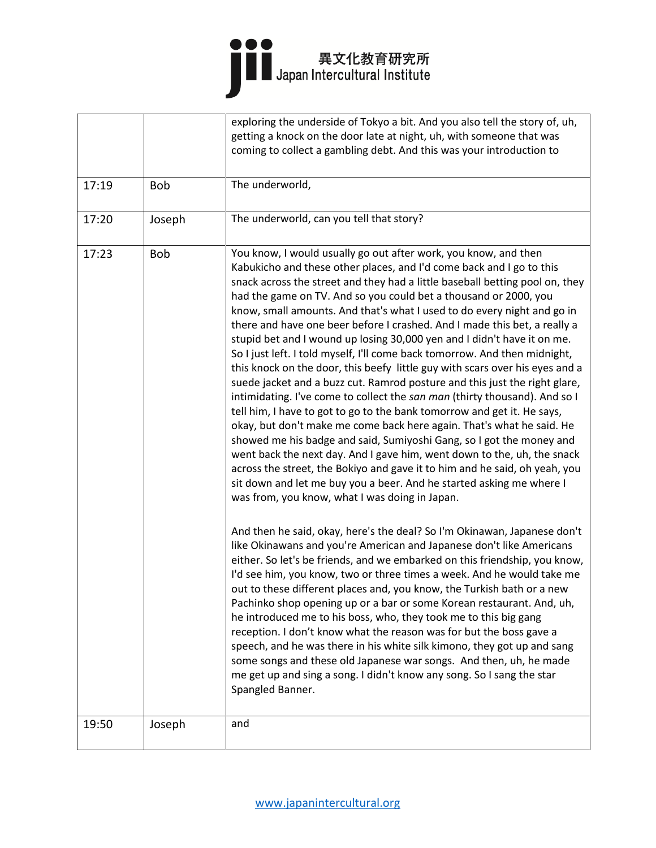|       |            | exploring the underside of Tokyo a bit. And you also tell the story of, uh,<br>getting a knock on the door late at night, uh, with someone that was<br>coming to collect a gambling debt. And this was your introduction to                                                                                                                                                                                                                                                                                                                                                                                                                                                                                                                                                                                                                                                                                                                                                                                                                                                                                                                                                                                                                                                                                                                                                                                                                                                                                                                                                                                                                                                                                                                                                                                                                                                                                                                                                                                                                                                                                                                                                                                                     |
|-------|------------|---------------------------------------------------------------------------------------------------------------------------------------------------------------------------------------------------------------------------------------------------------------------------------------------------------------------------------------------------------------------------------------------------------------------------------------------------------------------------------------------------------------------------------------------------------------------------------------------------------------------------------------------------------------------------------------------------------------------------------------------------------------------------------------------------------------------------------------------------------------------------------------------------------------------------------------------------------------------------------------------------------------------------------------------------------------------------------------------------------------------------------------------------------------------------------------------------------------------------------------------------------------------------------------------------------------------------------------------------------------------------------------------------------------------------------------------------------------------------------------------------------------------------------------------------------------------------------------------------------------------------------------------------------------------------------------------------------------------------------------------------------------------------------------------------------------------------------------------------------------------------------------------------------------------------------------------------------------------------------------------------------------------------------------------------------------------------------------------------------------------------------------------------------------------------------------------------------------------------------|
| 17:19 | <b>Bob</b> | The underworld,                                                                                                                                                                                                                                                                                                                                                                                                                                                                                                                                                                                                                                                                                                                                                                                                                                                                                                                                                                                                                                                                                                                                                                                                                                                                                                                                                                                                                                                                                                                                                                                                                                                                                                                                                                                                                                                                                                                                                                                                                                                                                                                                                                                                                 |
| 17:20 | Joseph     | The underworld, can you tell that story?                                                                                                                                                                                                                                                                                                                                                                                                                                                                                                                                                                                                                                                                                                                                                                                                                                                                                                                                                                                                                                                                                                                                                                                                                                                                                                                                                                                                                                                                                                                                                                                                                                                                                                                                                                                                                                                                                                                                                                                                                                                                                                                                                                                        |
| 17:23 | <b>Bob</b> | You know, I would usually go out after work, you know, and then<br>Kabukicho and these other places, and I'd come back and I go to this<br>snack across the street and they had a little baseball betting pool on, they<br>had the game on TV. And so you could bet a thousand or 2000, you<br>know, small amounts. And that's what I used to do every night and go in<br>there and have one beer before I crashed. And I made this bet, a really a<br>stupid bet and I wound up losing 30,000 yen and I didn't have it on me.<br>So I just left. I told myself, I'll come back tomorrow. And then midnight,<br>this knock on the door, this beefy little guy with scars over his eyes and a<br>suede jacket and a buzz cut. Ramrod posture and this just the right glare,<br>intimidating. I've come to collect the san man (thirty thousand). And so I<br>tell him, I have to got to go to the bank tomorrow and get it. He says,<br>okay, but don't make me come back here again. That's what he said. He<br>showed me his badge and said, Sumiyoshi Gang, so I got the money and<br>went back the next day. And I gave him, went down to the, uh, the snack<br>across the street, the Bokiyo and gave it to him and he said, oh yeah, you<br>sit down and let me buy you a beer. And he started asking me where I<br>was from, you know, what I was doing in Japan.<br>And then he said, okay, here's the deal? So I'm Okinawan, Japanese don't<br>like Okinawans and you're American and Japanese don't like Americans<br>either. So let's be friends, and we embarked on this friendship, you know,<br>I'd see him, you know, two or three times a week. And he would take me<br>out to these different places and, you know, the Turkish bath or a new<br>Pachinko shop opening up or a bar or some Korean restaurant. And, uh,<br>he introduced me to his boss, who, they took me to this big gang<br>reception. I don't know what the reason was for but the boss gave a<br>speech, and he was there in his white silk kimono, they got up and sang<br>some songs and these old Japanese war songs. And then, uh, he made<br>me get up and sing a song. I didn't know any song. So I sang the star<br>Spangled Banner. |
| 19:50 | Joseph     | and                                                                                                                                                                                                                                                                                                                                                                                                                                                                                                                                                                                                                                                                                                                                                                                                                                                                                                                                                                                                                                                                                                                                                                                                                                                                                                                                                                                                                                                                                                                                                                                                                                                                                                                                                                                                                                                                                                                                                                                                                                                                                                                                                                                                                             |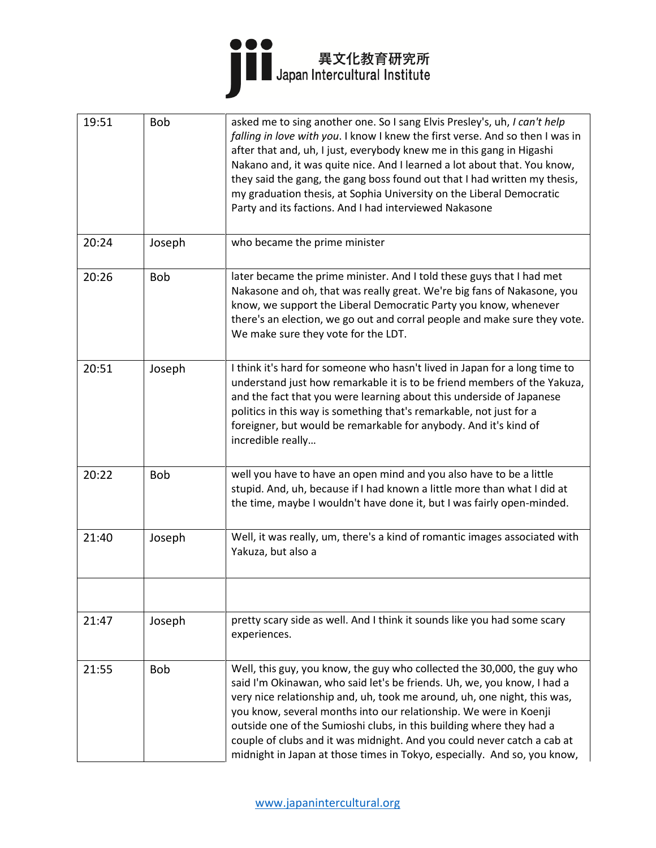

| 19:51 | <b>Bob</b> | asked me to sing another one. So I sang Elvis Presley's, uh, I can't help<br>falling in love with you. I know I knew the first verse. And so then I was in<br>after that and, uh, I just, everybody knew me in this gang in Higashi<br>Nakano and, it was quite nice. And I learned a lot about that. You know,<br>they said the gang, the gang boss found out that I had written my thesis,<br>my graduation thesis, at Sophia University on the Liberal Democratic<br>Party and its factions. And I had interviewed Nakasone     |
|-------|------------|------------------------------------------------------------------------------------------------------------------------------------------------------------------------------------------------------------------------------------------------------------------------------------------------------------------------------------------------------------------------------------------------------------------------------------------------------------------------------------------------------------------------------------|
| 20:24 | Joseph     | who became the prime minister                                                                                                                                                                                                                                                                                                                                                                                                                                                                                                      |
| 20:26 | <b>Bob</b> | later became the prime minister. And I told these guys that I had met<br>Nakasone and oh, that was really great. We're big fans of Nakasone, you<br>know, we support the Liberal Democratic Party you know, whenever<br>there's an election, we go out and corral people and make sure they vote.<br>We make sure they vote for the LDT.                                                                                                                                                                                           |
| 20:51 | Joseph     | I think it's hard for someone who hasn't lived in Japan for a long time to<br>understand just how remarkable it is to be friend members of the Yakuza,<br>and the fact that you were learning about this underside of Japanese<br>politics in this way is something that's remarkable, not just for a<br>foreigner, but would be remarkable for anybody. And it's kind of<br>incredible really                                                                                                                                     |
| 20:22 | <b>Bob</b> | well you have to have an open mind and you also have to be a little<br>stupid. And, uh, because if I had known a little more than what I did at<br>the time, maybe I wouldn't have done it, but I was fairly open-minded.                                                                                                                                                                                                                                                                                                          |
| 21:40 | Joseph     | Well, it was really, um, there's a kind of romantic images associated with<br>Yakuza, but also a                                                                                                                                                                                                                                                                                                                                                                                                                                   |
|       |            |                                                                                                                                                                                                                                                                                                                                                                                                                                                                                                                                    |
| 21:47 | Joseph     | pretty scary side as well. And I think it sounds like you had some scary<br>experiences.                                                                                                                                                                                                                                                                                                                                                                                                                                           |
| 21:55 | <b>Bob</b> | Well, this guy, you know, the guy who collected the 30,000, the guy who<br>said I'm Okinawan, who said let's be friends. Uh, we, you know, I had a<br>very nice relationship and, uh, took me around, uh, one night, this was,<br>you know, several months into our relationship. We were in Koenji<br>outside one of the Sumioshi clubs, in this building where they had a<br>couple of clubs and it was midnight. And you could never catch a cab at<br>midnight in Japan at those times in Tokyo, especially. And so, you know, |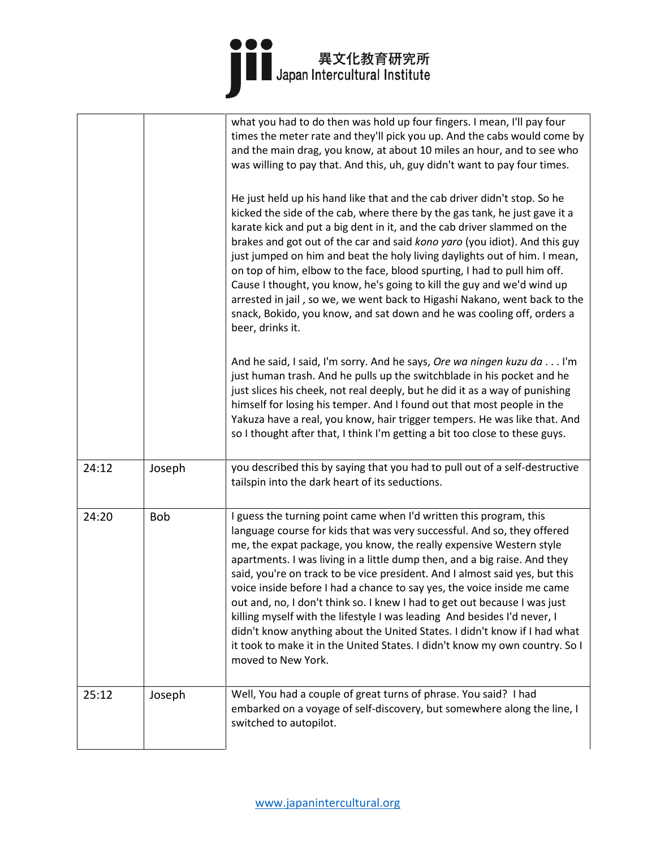|       |        | what you had to do then was hold up four fingers. I mean, I'll pay four<br>times the meter rate and they'll pick you up. And the cabs would come by<br>and the main drag, you know, at about 10 miles an hour, and to see who<br>was willing to pay that. And this, uh, guy didn't want to pay four times.<br>He just held up his hand like that and the cab driver didn't stop. So he<br>kicked the side of the cab, where there by the gas tank, he just gave it a<br>karate kick and put a big dent in it, and the cab driver slammed on the<br>brakes and got out of the car and said kono yaro (you idiot). And this guy<br>just jumped on him and beat the holy living daylights out of him. I mean,<br>on top of him, elbow to the face, blood spurting, I had to pull him off.<br>Cause I thought, you know, he's going to kill the guy and we'd wind up<br>arrested in jail, so we, we went back to Higashi Nakano, went back to the<br>snack, Bokido, you know, and sat down and he was cooling off, orders a<br>beer, drinks it. |
|-------|--------|---------------------------------------------------------------------------------------------------------------------------------------------------------------------------------------------------------------------------------------------------------------------------------------------------------------------------------------------------------------------------------------------------------------------------------------------------------------------------------------------------------------------------------------------------------------------------------------------------------------------------------------------------------------------------------------------------------------------------------------------------------------------------------------------------------------------------------------------------------------------------------------------------------------------------------------------------------------------------------------------------------------------------------------------|
|       |        | And he said, I said, I'm sorry. And he says, Ore wa ningen kuzu da I'm<br>just human trash. And he pulls up the switchblade in his pocket and he<br>just slices his cheek, not real deeply, but he did it as a way of punishing<br>himself for losing his temper. And I found out that most people in the<br>Yakuza have a real, you know, hair trigger tempers. He was like that. And<br>so I thought after that, I think I'm getting a bit too close to these guys.                                                                                                                                                                                                                                                                                                                                                                                                                                                                                                                                                                       |
| 24:12 | Joseph | you described this by saying that you had to pull out of a self-destructive<br>tailspin into the dark heart of its seductions.                                                                                                                                                                                                                                                                                                                                                                                                                                                                                                                                                                                                                                                                                                                                                                                                                                                                                                              |
| 24:20 | Bob    | I guess the turning point came when I'd written this program, this<br>language course for kids that was very successful. And so, they offered<br>me, the expat package, you know, the really expensive Western style<br>apartments. I was living in a little dump then, and a big raise. And they<br>said, you're on track to be vice president. And I almost said yes, but this<br>voice inside before I had a chance to say yes, the voice inside me came<br>out and, no, I don't think so. I knew I had to get out because I was just<br>killing myself with the lifestyle I was leading And besides I'd never, I<br>didn't know anything about the United States. I didn't know if I had what<br>it took to make it in the United States. I didn't know my own country. So I<br>moved to New York.                                                                                                                                                                                                                                      |
| 25:12 | Joseph | Well, You had a couple of great turns of phrase. You said? I had<br>embarked on a voyage of self-discovery, but somewhere along the line, I<br>switched to autopilot.                                                                                                                                                                                                                                                                                                                                                                                                                                                                                                                                                                                                                                                                                                                                                                                                                                                                       |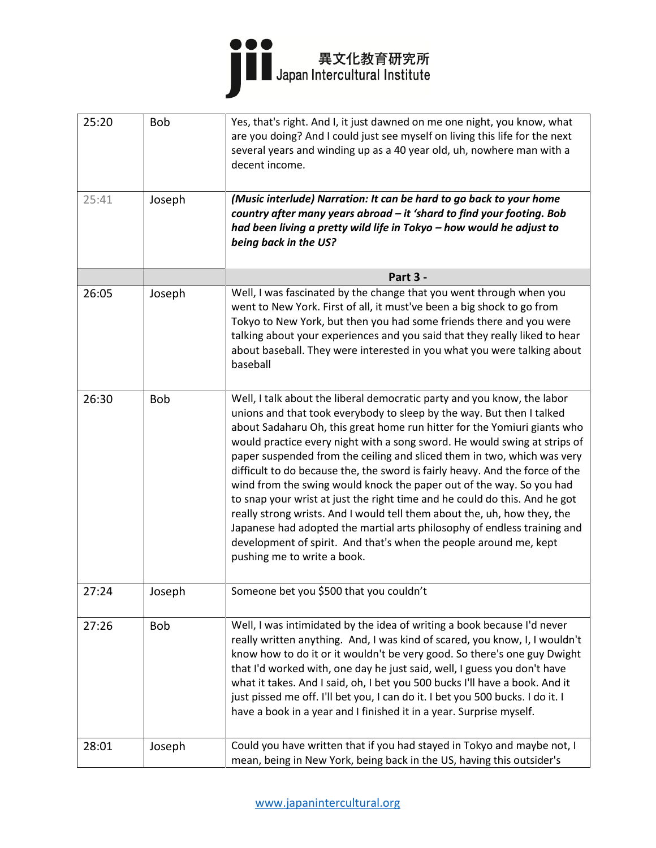

| 25:20 | <b>Bob</b> | Yes, that's right. And I, it just dawned on me one night, you know, what<br>are you doing? And I could just see myself on living this life for the next<br>several years and winding up as a 40 year old, uh, nowhere man with a<br>decent income.                                                                                                                                                                                                                                                                                                                                                                                                                                                                                                                                                                                                                                     |
|-------|------------|----------------------------------------------------------------------------------------------------------------------------------------------------------------------------------------------------------------------------------------------------------------------------------------------------------------------------------------------------------------------------------------------------------------------------------------------------------------------------------------------------------------------------------------------------------------------------------------------------------------------------------------------------------------------------------------------------------------------------------------------------------------------------------------------------------------------------------------------------------------------------------------|
| 25:41 | Joseph     | (Music interlude) Narration: It can be hard to go back to your home<br>country after many years abroad - it 'shard to find your footing. Bob<br>had been living a pretty wild life in Tokyo - how would he adjust to<br>being back in the US?                                                                                                                                                                                                                                                                                                                                                                                                                                                                                                                                                                                                                                          |
|       |            | Part 3 -                                                                                                                                                                                                                                                                                                                                                                                                                                                                                                                                                                                                                                                                                                                                                                                                                                                                               |
| 26:05 | Joseph     | Well, I was fascinated by the change that you went through when you<br>went to New York. First of all, it must've been a big shock to go from<br>Tokyo to New York, but then you had some friends there and you were<br>talking about your experiences and you said that they really liked to hear<br>about baseball. They were interested in you what you were talking about<br>baseball                                                                                                                                                                                                                                                                                                                                                                                                                                                                                              |
| 26:30 | <b>Bob</b> | Well, I talk about the liberal democratic party and you know, the labor<br>unions and that took everybody to sleep by the way. But then I talked<br>about Sadaharu Oh, this great home run hitter for the Yomiuri giants who<br>would practice every night with a song sword. He would swing at strips of<br>paper suspended from the ceiling and sliced them in two, which was very<br>difficult to do because the, the sword is fairly heavy. And the force of the<br>wind from the swing would knock the paper out of the way. So you had<br>to snap your wrist at just the right time and he could do this. And he got<br>really strong wrists. And I would tell them about the, uh, how they, the<br>Japanese had adopted the martial arts philosophy of endless training and<br>development of spirit. And that's when the people around me, kept<br>pushing me to write a book. |
| 27:24 | Joseph     | Someone bet you \$500 that you couldn't                                                                                                                                                                                                                                                                                                                                                                                                                                                                                                                                                                                                                                                                                                                                                                                                                                                |
| 27:26 | <b>Bob</b> | Well, I was intimidated by the idea of writing a book because I'd never<br>really written anything. And, I was kind of scared, you know, I, I wouldn't<br>know how to do it or it wouldn't be very good. So there's one guy Dwight<br>that I'd worked with, one day he just said, well, I guess you don't have<br>what it takes. And I said, oh, I bet you 500 bucks I'll have a book. And it<br>just pissed me off. I'll bet you, I can do it. I bet you 500 bucks. I do it. I<br>have a book in a year and I finished it in a year. Surprise myself.                                                                                                                                                                                                                                                                                                                                 |
| 28:01 | Joseph     | Could you have written that if you had stayed in Tokyo and maybe not, I<br>mean, being in New York, being back in the US, having this outsider's                                                                                                                                                                                                                                                                                                                                                                                                                                                                                                                                                                                                                                                                                                                                       |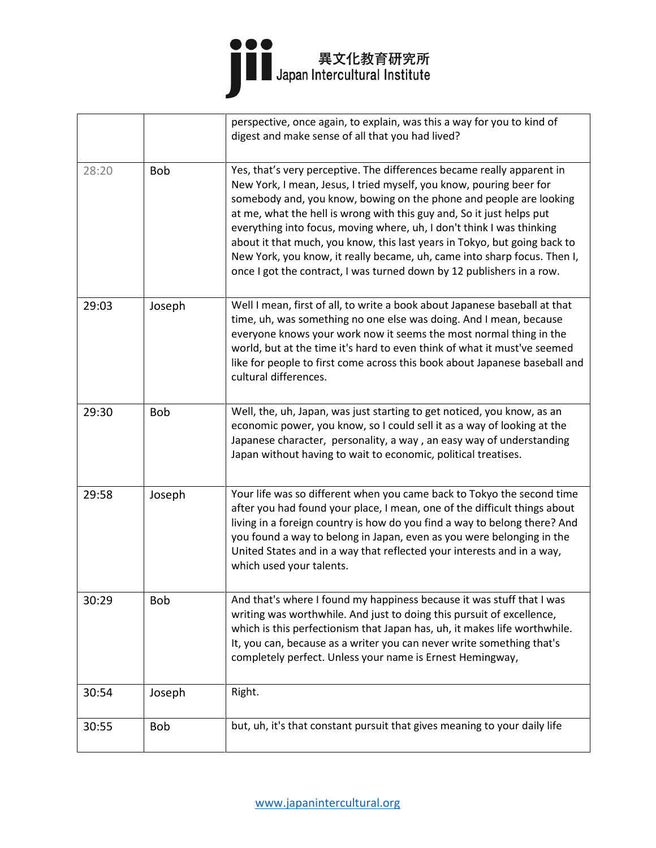#### I

|       |            | perspective, once again, to explain, was this a way for you to kind of<br>digest and make sense of all that you had lived?                                                                                                                                                                                                                                                                                                                                                                                                                                                                              |
|-------|------------|---------------------------------------------------------------------------------------------------------------------------------------------------------------------------------------------------------------------------------------------------------------------------------------------------------------------------------------------------------------------------------------------------------------------------------------------------------------------------------------------------------------------------------------------------------------------------------------------------------|
| 28:20 | <b>Bob</b> | Yes, that's very perceptive. The differences became really apparent in<br>New York, I mean, Jesus, I tried myself, you know, pouring beer for<br>somebody and, you know, bowing on the phone and people are looking<br>at me, what the hell is wrong with this guy and, So it just helps put<br>everything into focus, moving where, uh, I don't think I was thinking<br>about it that much, you know, this last years in Tokyo, but going back to<br>New York, you know, it really became, uh, came into sharp focus. Then I,<br>once I got the contract, I was turned down by 12 publishers in a row. |
| 29:03 | Joseph     | Well I mean, first of all, to write a book about Japanese baseball at that<br>time, uh, was something no one else was doing. And I mean, because<br>everyone knows your work now it seems the most normal thing in the<br>world, but at the time it's hard to even think of what it must've seemed<br>like for people to first come across this book about Japanese baseball and<br>cultural differences.                                                                                                                                                                                               |
| 29:30 | <b>Bob</b> | Well, the, uh, Japan, was just starting to get noticed, you know, as an<br>economic power, you know, so I could sell it as a way of looking at the<br>Japanese character, personality, a way, an easy way of understanding<br>Japan without having to wait to economic, political treatises.                                                                                                                                                                                                                                                                                                            |
| 29:58 | Joseph     | Your life was so different when you came back to Tokyo the second time<br>after you had found your place, I mean, one of the difficult things about<br>living in a foreign country is how do you find a way to belong there? And<br>you found a way to belong in Japan, even as you were belonging in the<br>United States and in a way that reflected your interests and in a way,<br>which used your talents.                                                                                                                                                                                         |
| 30:29 | Bob        | And that's where I found my happiness because it was stuff that I was<br>writing was worthwhile. And just to doing this pursuit of excellence,<br>which is this perfectionism that Japan has, uh, it makes life worthwhile.<br>It, you can, because as a writer you can never write something that's<br>completely perfect. Unless your name is Ernest Hemingway,                                                                                                                                                                                                                                       |
| 30:54 | Joseph     | Right.                                                                                                                                                                                                                                                                                                                                                                                                                                                                                                                                                                                                  |
| 30:55 | Bob        | but, uh, it's that constant pursuit that gives meaning to your daily life                                                                                                                                                                                                                                                                                                                                                                                                                                                                                                                               |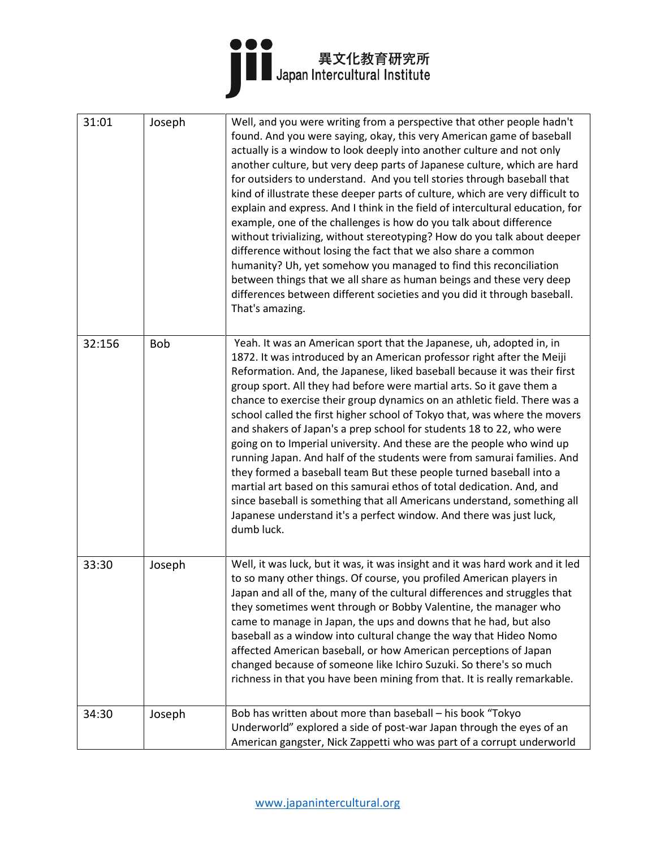

| 31:01  | Joseph     | Well, and you were writing from a perspective that other people hadn't<br>found. And you were saying, okay, this very American game of baseball<br>actually is a window to look deeply into another culture and not only<br>another culture, but very deep parts of Japanese culture, which are hard<br>for outsiders to understand. And you tell stories through baseball that<br>kind of illustrate these deeper parts of culture, which are very difficult to<br>explain and express. And I think in the field of intercultural education, for<br>example, one of the challenges is how do you talk about difference<br>without trivializing, without stereotyping? How do you talk about deeper<br>difference without losing the fact that we also share a common<br>humanity? Uh, yet somehow you managed to find this reconciliation<br>between things that we all share as human beings and these very deep<br>differences between different societies and you did it through baseball.<br>That's amazing. |
|--------|------------|-------------------------------------------------------------------------------------------------------------------------------------------------------------------------------------------------------------------------------------------------------------------------------------------------------------------------------------------------------------------------------------------------------------------------------------------------------------------------------------------------------------------------------------------------------------------------------------------------------------------------------------------------------------------------------------------------------------------------------------------------------------------------------------------------------------------------------------------------------------------------------------------------------------------------------------------------------------------------------------------------------------------|
| 32:156 | <b>Bob</b> | Yeah. It was an American sport that the Japanese, uh, adopted in, in<br>1872. It was introduced by an American professor right after the Meiji<br>Reformation. And, the Japanese, liked baseball because it was their first<br>group sport. All they had before were martial arts. So it gave them a<br>chance to exercise their group dynamics on an athletic field. There was a<br>school called the first higher school of Tokyo that, was where the movers<br>and shakers of Japan's a prep school for students 18 to 22, who were<br>going on to Imperial university. And these are the people who wind up<br>running Japan. And half of the students were from samurai families. And<br>they formed a baseball team But these people turned baseball into a<br>martial art based on this samurai ethos of total dedication. And, and<br>since baseball is something that all Americans understand, something all<br>Japanese understand it's a perfect window. And there was just luck,<br>dumb luck.       |
| 33:30  | Joseph     | Well, it was luck, but it was, it was insight and it was hard work and it led<br>to so many other things. Of course, you profiled American players in<br>Japan and all of the, many of the cultural differences and struggles that<br>they sometimes went through or Bobby Valentine, the manager who<br>came to manage in Japan, the ups and downs that he had, but also<br>baseball as a window into cultural change the way that Hideo Nomo<br>affected American baseball, or how American perceptions of Japan<br>changed because of someone like Ichiro Suzuki. So there's so much<br>richness in that you have been mining from that. It is really remarkable.                                                                                                                                                                                                                                                                                                                                              |
| 34:30  | Joseph     | Bob has written about more than baseball - his book "Tokyo<br>Underworld" explored a side of post-war Japan through the eyes of an<br>American gangster, Nick Zappetti who was part of a corrupt underworld                                                                                                                                                                                                                                                                                                                                                                                                                                                                                                                                                                                                                                                                                                                                                                                                       |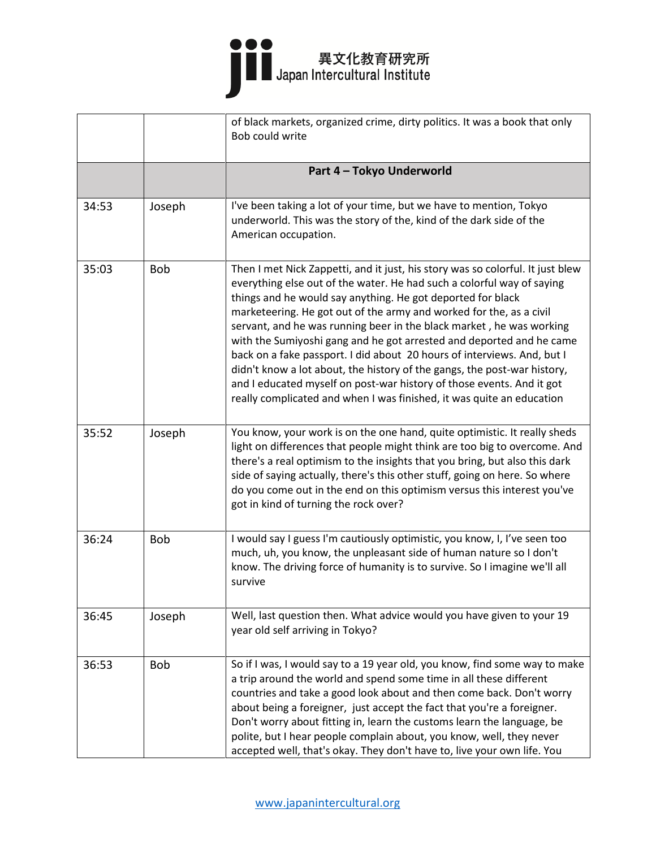|       |            | of black markets, organized crime, dirty politics. It was a book that only<br>Bob could write                                                                                                                                                                                                                                                                                                                                                                                                                                                                                                                                                                                                                                                           |
|-------|------------|---------------------------------------------------------------------------------------------------------------------------------------------------------------------------------------------------------------------------------------------------------------------------------------------------------------------------------------------------------------------------------------------------------------------------------------------------------------------------------------------------------------------------------------------------------------------------------------------------------------------------------------------------------------------------------------------------------------------------------------------------------|
|       |            | Part 4 - Tokyo Underworld                                                                                                                                                                                                                                                                                                                                                                                                                                                                                                                                                                                                                                                                                                                               |
| 34:53 | Joseph     | I've been taking a lot of your time, but we have to mention, Tokyo<br>underworld. This was the story of the, kind of the dark side of the<br>American occupation.                                                                                                                                                                                                                                                                                                                                                                                                                                                                                                                                                                                       |
| 35:03 | <b>Bob</b> | Then I met Nick Zappetti, and it just, his story was so colorful. It just blew<br>everything else out of the water. He had such a colorful way of saying<br>things and he would say anything. He got deported for black<br>marketeering. He got out of the army and worked for the, as a civil<br>servant, and he was running beer in the black market, he was working<br>with the Sumiyoshi gang and he got arrested and deported and he came<br>back on a fake passport. I did about 20 hours of interviews. And, but I<br>didn't know a lot about, the history of the gangs, the post-war history,<br>and I educated myself on post-war history of those events. And it got<br>really complicated and when I was finished, it was quite an education |
| 35:52 | Joseph     | You know, your work is on the one hand, quite optimistic. It really sheds<br>light on differences that people might think are too big to overcome. And<br>there's a real optimism to the insights that you bring, but also this dark<br>side of saying actually, there's this other stuff, going on here. So where<br>do you come out in the end on this optimism versus this interest you've<br>got in kind of turning the rock over?                                                                                                                                                                                                                                                                                                                  |
| 36:24 | <b>Bob</b> | I would say I guess I'm cautiously optimistic, you know, I, I've seen too<br>much, uh, you know, the unpleasant side of human nature so I don't<br>know. The driving force of humanity is to survive. So I imagine we'll all<br>survive                                                                                                                                                                                                                                                                                                                                                                                                                                                                                                                 |
| 36:45 | Joseph     | Well, last question then. What advice would you have given to your 19<br>year old self arriving in Tokyo?                                                                                                                                                                                                                                                                                                                                                                                                                                                                                                                                                                                                                                               |
| 36:53 | <b>Bob</b> | So if I was, I would say to a 19 year old, you know, find some way to make<br>a trip around the world and spend some time in all these different<br>countries and take a good look about and then come back. Don't worry<br>about being a foreigner, just accept the fact that you're a foreigner.<br>Don't worry about fitting in, learn the customs learn the language, be<br>polite, but I hear people complain about, you know, well, they never<br>accepted well, that's okay. They don't have to, live your own life. You                                                                                                                                                                                                                         |